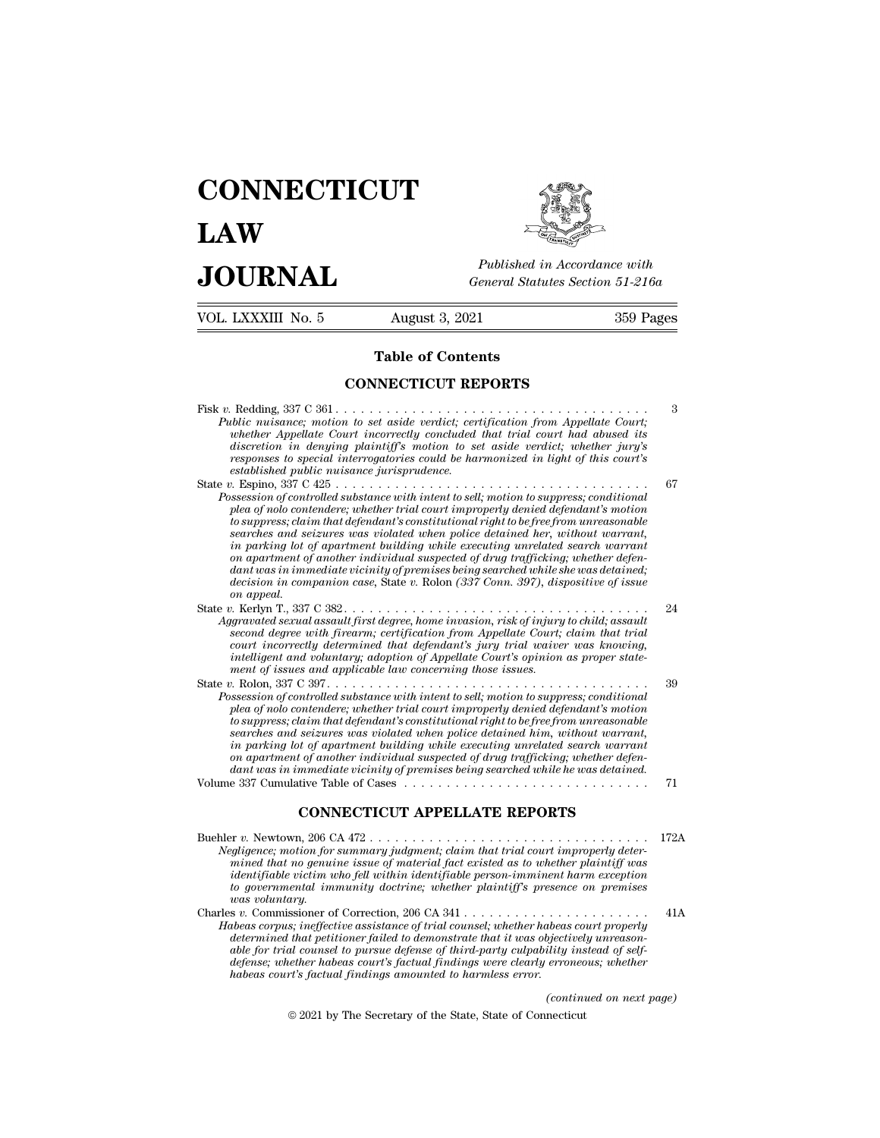# **CONNECTICUT LAW PUBLICE CONNECTICUT**<br> **Published in Accordance with**<br> **JOURNAL** *General Statutes Section 51-216a*<br> **Published in Accordance with**



VOL. LXXXIII No. 5 August 3, 2021 359 Pages Published in A.<br>
General Statutes<br> **Table of Contents<br>
NECTICUT REPORTS** General Statutes Section<br> **CONNECTICUT REPORTS**<br>
CONNECTICUT REPORTS Fisk *v.* Redding, 337 C 361 . . . . . . . . . . . . . . . . . . . . . . . . . . . . . . . . . . . . . <sup>3</sup>

| <b>Table of Contents</b>                                                                                                                                                                                                                                                                                                                                                                                                                                                                                                                                                                                                                                                                                                 |      |
|--------------------------------------------------------------------------------------------------------------------------------------------------------------------------------------------------------------------------------------------------------------------------------------------------------------------------------------------------------------------------------------------------------------------------------------------------------------------------------------------------------------------------------------------------------------------------------------------------------------------------------------------------------------------------------------------------------------------------|------|
| <b>CONNECTICUT REPORTS</b>                                                                                                                                                                                                                                                                                                                                                                                                                                                                                                                                                                                                                                                                                               |      |
| Fisk v. Redding, $337 \text{ C } 361 \ldots \ldots \ldots \ldots \ldots \ldots \ldots \ldots \ldots \ldots \ldots \ldots$<br>Public nuisance; motion to set aside verdict; certification from Appellate Court;<br>whether Appellate Court incorrectly concluded that trial court had abused its<br>discretion in denying plaintiffs motion to set aside verdict; whether jury's<br>responses to special interrogatories could be harmonized in light of this court's<br>established public nuisance jurisprudence.                                                                                                                                                                                                       | 3    |
| Possession of controlled substance with intent to sell; motion to suppress; conditional<br>plea of nolo contendere; whether trial court improperly denied defendant's motion<br>to suppress; claim that defendant's constitutional right to be free from unreasonable<br>searches and seizures was violated when police detained her, without warrant,<br>in parking lot of apartment building while executing unrelated search warrant<br>on apartment of another individual suspected of drug trafficking; whether defen-<br>$d$ ant was in immediate vicinity of premises being searched while she was detained;<br>$decision in companion case$ , State v. Rolon (337 Conn. 397), dispositive of issue<br>on appeal. | 67   |
| Aggravated sexual assault first degree, home invasion, risk of injury to child; assault<br>second degree with firearm; certification from Appellate Court; claim that trial<br>court incorrectly determined that defendant's jury trial waiver was knowing,<br>intelligent and voluntary; adoption of Appellate Court's opinion as proper state-<br>ment of issues and applicable law concerning those issues.                                                                                                                                                                                                                                                                                                           | 24   |
| Possession of controlled substance with intent to sell; motion to suppress; conditional<br>plea of nolo contendere; whether trial court improperly denied defendant's motion<br>to suppress; claim that defendant's constitutional right to be free from unreasonable<br>searches and seizures was violated when police detained him, without warrant,<br>in parking lot of apartment building while executing unrelated search warrant<br>on apartment of another individual suspected of drug trafficking; whether defen-<br>dant was in immediate vicinity of premises being searched while he was detained.                                                                                                          | 39   |
|                                                                                                                                                                                                                                                                                                                                                                                                                                                                                                                                                                                                                                                                                                                          | 71   |
| <b>CONNECTICUT APPELLATE REPORTS</b>                                                                                                                                                                                                                                                                                                                                                                                                                                                                                                                                                                                                                                                                                     |      |
| Negligence; motion for summary judgment; claim that trial court improperly deter-<br>mined that no genuine issue of material fact existed as to whether plaintiff was<br>identifiable victim who fell within identifiable person-imminent harm exception<br>to governmental immunity doctrine; whether plaintiff's presence on premises<br>was voluntaru                                                                                                                                                                                                                                                                                                                                                                 | 172A |

**connection of Governmental immunity doctrine;** where  $\alpha$  gligence; motion for summary judgment; claim that trial court improperly determined that no genuine issue of material fact existed as to whether plaintiff was inde **WATER CONT**<br> *was volution for*<br> *was voluntary.*<br> *was voluntary.*<br> *was voluntary.*<br> *was voluntary.*<br> *was voluntary.*<br> *was voluntary.* Charles *v.* Commissioner of Correction, 206 CA 341 . . . . . . . . . . . . . . . . . . . . . . 41A *Habeas corpus; inclusion in the trial counsel; inclusion in the mined that no genuine issue of material fact existed as to whether plaintiff was identifiable victim who fell within identifiable person-imminent harm except determined that no genuine issue of material fact existed as to whether plainiff was inited that no genuine issue of material fact existed as to whether plaintiff was independent information to governmental immunity doctr able for trial counsel to multiplable person-imminent harm exception*<br> *abentifiable victim who fell within identifiable person-imminent harm exception*<br> *able governmental immunity doctrine; whether plaintiff's presence definition the factual immunity doctrine; whether plaintiff's presence on premises*<br>to governmental immunity doctrine; whether plaintiff's presence on premises<br>was voluntary.<br>s v. Commissioner of Correction, 206 CA 341 . *habeas coluntary*<br> *habeas courtary.*<br> *habeas corpus; ineffective assistance of trial counsel; whether habeas<br>
atermined that petitioner failed to demonstrate that it was objectively<br>
defense; whether habeas court's fact (continued on the contribuely instead of self-*<br>*(continued on next page)*<br>*(continued on next page)*<br>necticut  $\mathcal{L}_{\mathcal{S}}$ , the system can be absoluted by demonstrate that it was objectively that petitioner failed to demonstrate that it was objectively all counsel to pursue defense of third-party culpability insether habeas cou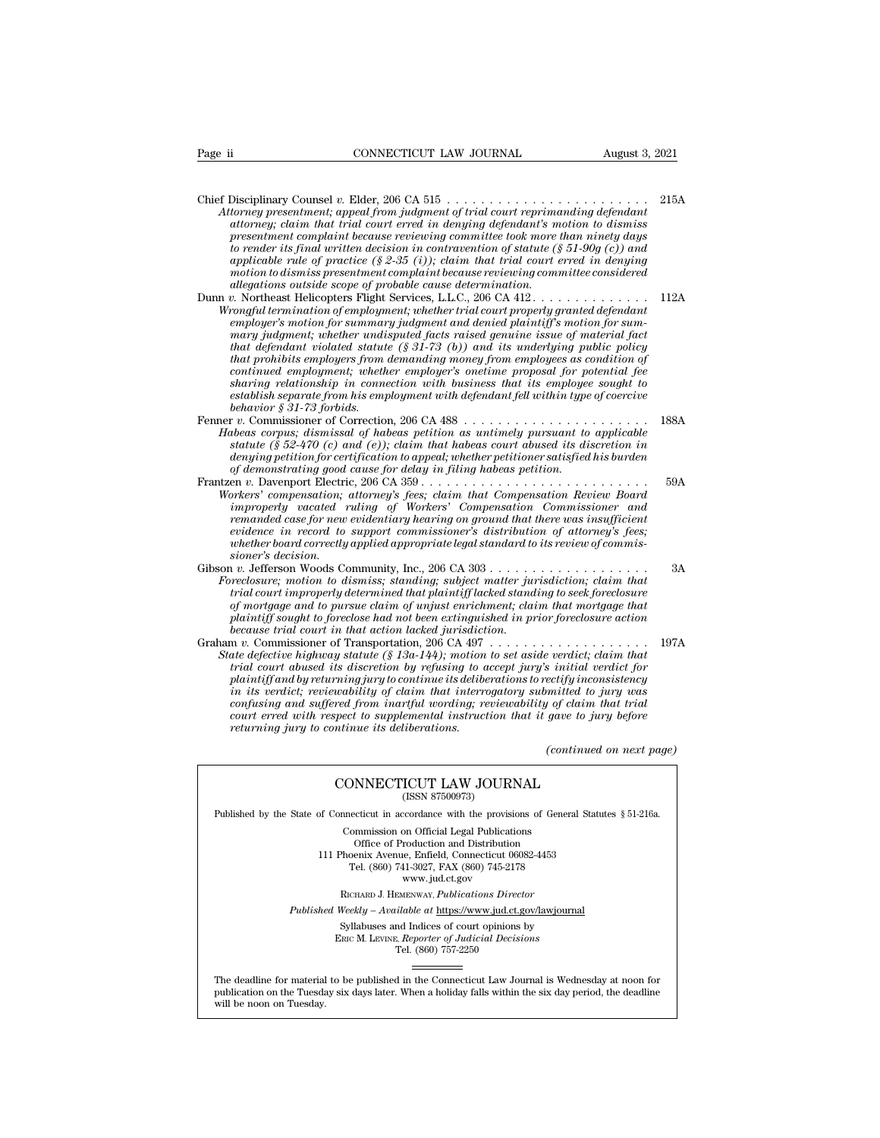Chief Disciplinary Counsel *v.* Elder, 206 CA 515 . . . . . . . . . . . . . . . . . . . . . . . . 215A Page ii CONNECTICUT LAW JOURNAL August 3, 2021<br>
Chief Disciplinary Counsel v. Elder, 206 CA 515<br> *Attorney presentment; appeal from judgment of trial court reprimanding defendant*<br> *attorney; claim that trial court erred i attorney; claim that trial court erred in denying defendant's motion to dismiss presentment completed to the general complement completed presentment; appeal from judgment of trial court reprimanding defendant attorney presentment; appeal from judgment of trial court reprimanding defendant attorney to render its final written decision in contravention of statute (§ 51-90g (c)) and* Disciplinary Counsel v. Elder, 206 CA 515<br>*abover they presentment; appeal from judgment of trial court reprimanding defendant*<br>attorney; claim that trial court erred in denying defendant's motion to dismiss<br>presentment co Disciplinary Counsel v. Elder, 206 CA 515<br> *torney presentment; appeal from judgment of trial court reprimanding defendant*<br> *attorney; claim that trial court erred in denying defendant's motion to dismiss*<br> *presentment c* Disciplinary Counsel v. Elder, 206 CA 515<br> *alomey presentment, appeal from judgment of trial court reprimation<br>
attorney, claim that trial court erred in denying defendant's m<br>
presentment complaint because reviewing com* Attorney presentment; appeat from fuagment of trial court reprimanaing aefendant<br>attorney; claim that trial court erred in denying defendant's motion to dismiss<br>presentment complaint because reviewing committee took more t attorney; claim that trial court erred in denying defendants motion to dismiss<br>presentment complaint because reviewing committee took more than ninety days<br>to render its final written decision in contravention of statute ( *to render its final written decision in contravention of statute (§ 51-90g (c)) and applicable rule of practice (§ 2-35 (i)); claim that trial court erred in denying motion to dismiss presentment complaint because reviewi mary instantant virtuen accision in contravention of statute (§ 51-90g (c)) and applicable rule of practice (§ 2-35 (i)); claim that trial court erred in denying motion to dismiss presentment complaint because reviewing appucable rule of practice (§ 2-35 (b)); claim that trial court errea in aenying<br>motion to dismiss presentment complaint because reviewing committee considered<br>allegations outside scope of probable cause determination.<br>p. that in that in the system and the cause is that individend and the considered* allegations outside scope of probable cause determination.<br>  $t$  Northeast Helicopters Flight Services, L.L.C., 206 CA 412. . . . . . . . . . *continued employment; whether employer's onetime proposal for potential fee share in continuation of employment; whether trial court properly granted defendant to onfor sumemployer's motion for sumemply granted pefendant winder many judgment; whether undisputed facts raised genuine issue of mater establish separation of employment; whether trual court property granted defendant*<br> *employer's motion for summary judgment and denied plaintiff's motion for summary judgment; whether undisputed facts raised genuine issu bemployer's motion for summarr*<br> *bary judgment*; whether undit<br> *hat defendant violated statution*<br> *baty poligies from*<br> *baring relationship in conne*<br> *baring relationship in conne*<br> *behavior*  $\hat{s}$  31-73 *forbids* mary *juayment; whether unarspitted jacts raised genuine issue of material jact*<br>that defendant violated statute (§ 31-73 (b)) and its underlying public policy<br>that prohibits employers from demanding money from employees a *Hal defendant violated statute* (*§* 31-73 (*b)*) and its undertying public policy<br> *Hat prohibits employers from demanding money from employees as condition of*<br> *continued employment; whether employer's onetime proposal that promous employers from demandang money from employees as condition of*<br> *continued employment; whether employer's onetime proposal for potential fee<br>
sharing relationship in connection with bainess that its employee contrinued employment; whether employers onetrme proposal jor potential jee*<br>*dentring relationship in connection with business that its employee sought to*<br>*dentablish separate from his employment with defendant fell wit of demonstrations in connection with business that its employee establish separate from his employment with defendant fell within type behavior § 31-73 forbids.*<br> *of the demonstration in the cause of demonstrating periti* Establish separate from his employment with defendant feat within type of coercive<br>
behavior § 31-78 forbids.<br>
Fenner *v*. Commissioner of Correction, 206 CA 488<br>
Habeas corpus; dismissal of habeas petition as untimely pur *Workers' commissioner of Correction, 206 CA 488*<br> *Workerstonerstoners of Correction, 206 CA 488*<br> *Habeas corpus; dismissal of habeas petition as untimely pursuant to applicable*<br> *statute (§ 52-470 (c) and (e)); claim t* 

- <sup>*r*</sup> *i*. Commissioner of Correction, 200 CA 488 *i i interally pursuant to applicable*<br>*is deray dismissal of habeas petition as untimely pursuant to applicable*<br>*istatute* (*§ 52.470 cc)* and (*e*)); claim that ha *remanded case for new evidentiary materiary pursuant to appucable statute (§ 52-470 (c) and (e)); claim that habeas court abused its discretion in denying petition for certification to appeal; whether petitioner satisfied evidence is 22-470 (c) and (e)); claim that habeas court abused its aiscretion in*<br>denying petition for certification to appeal; whether petitioner satisfied his burden<br>of demonstrating good cause for delay in filing habe *whether board correctly deals for delay in filing habeas petitioner satisfied nis ourden*<br>of demonstrating good cause for delay in filing habeas petition.<br>
Prices v. Davenport Electric, 206 CA 359 . . . . . . . . . . . . *of aemonstrating good*<br>cn *v. Davenport Electri*<br>*improperly vacated 1*<br>*remanded case for new*<br>*evidence in record to*<br>*whether board correctly<br>sioner's decision.*<br>*v. Jefferson Woods Correclosure* motion to d Gibson *v.* Jefferson Woods Community, Inc., 206 CA 303 . . . . . . . . . . . . . . . . . . . 3A *Foreclosure; motion is dismission to dismission the compensation in the to the term of the term is compensation commissioner and remanded case for new evidentary hearing on ground that there was insufficient evidence in r trial court improperly vacated ruling of workers' Compensation Commissioner and<br>remanded case for new evidentiary hearing on ground that there was insufficient<br>evidence in record to support commissioner's distribution of*
- *remanded case for new evidentiary nearing on ground that there was insufficience in record to support commissioner's distribution of attorney's fees; whether board correctly applied appropriate legal standard to its revie plantifier board correctly applied appropriate legal standard to its review of commissioner's decision.*<br> *plantifier board correctly applied appropriate legal standard to its review of commissioner's decision.*<br> *p*. Jef *because trial correctly applied appropriate legal standard to*<br> *bioner's decision.*<br> *b* . Jefferson Woods Community, Inc., 206 CA 303 . . . . . .<br> *preclosure; motion to dismiss; standing; subject matter jurisdiction of* Graham *v.* Commissioner of Transportation, 206 CA 497 . . . . . . . . . . . . . . . . . . . 197A *State defective in that defective highway statute (§ 13a-144); motion to dismiss; statute in that trial court improperly determined that plaintiff lacked standing to seek foreclosure of mortgage and to pursue claim of unj*
- *trectosure; motion to atsmiss; standing; subject matter jurisdiction; claim indiction of mortgage and to pursue claim of unjust enrichment; claim that mortgage that plaintiff sought to foreclose had not been extinguished praise court improperty actermined that planntyf idcked standing to seek joreclosure*<br>*plaintiff sought to foreclose had not been extinguished in prior foreclosure action*<br>*plaintiff sought to foreclose had not been extin in in interedual to pursue claim of unjust enrichment; claim that mortgage that* plaintiff sought to foreclose had not been extinguished in prior foreclosure action because trial court in that action lacked jurisdiction.<br> plannty sought to joreclose had not been extinguished in prior joreclosure action<br>because trial court in that action lacked jurisdiction.<br>The v. Commissioner of Transportation, 206 CA 497 .................................. *court erred with respect to supplemental instruction that it gave to jury before* State defective highway statute (§ 13a-144); motion to set aside verdict; claim that<br>trial court abused its discretion by refusing to accept jury's initial verdict for<br>plaintiff and by returning jury to continue its delibe *(continued on next for extify inconsistency*<br>*(continued to jury was gave to jury vasid gave to jury before*<br>*(continued on next page)* ming jury to continue its deliberations to rectify inconsized that interrogatory submitted to jured from inartful wording; reviewability of claim that the pect to supplemental instruction that it gave to jury intinue its d

## CONNECTICUT LAW JOURNAL

Published by the State of Connecticut in accordance with the provisions of General Statutes § 51-216a.

CONNECTICUT LAW JOURNAL<br>
(ISSN 87500973)<br>
inecticut in accordance with the provisions of Gener<br>
Commission on Official Legal Publications<br>
Office of Production and Distribution<br>
office of Production and Distribution **NNECTICUT LAW JOURNAL**<br>
(ISSN 87500973)<br>
cticut in accordance with the provisions of Gener<br>
mmission on Official Legal Publications<br>
Office of Production and Distribution<br>
centra Avenue, Enfield, Connecticut 06082-4453<br>
b CONNECTICUT LAW JOURNAL<br>
(ISSN 87500973)<br>
of Connecticut in accordance with the provisions of General Statu<br>
Commission on Official Legal Publications<br>
Office of Production and Distribution<br>
111 Phoenix Avenue, Enfield, Co (ISSN 87500973)<br>ecticut in accordance with the provisions of Gener<br>ommission on Official Legal Publications<br>Office of Production and Distribution<br>oenix Avenue, Enfield, Connecticut 06082-4453<br>Tel. (860) 741-3027, FAX (860 reordance with the provision<br>on Official Legal Publication<br>roduction and Distribution<br>e, Enfield, Connecticut 06<br>11-3027, FAX (860) 745-21'<br>www.jud.ct.gov<br>zENWAY, *Publications Dire* Rommission on Official Legal Publications<br>
Office of Production and Distribution<br>
Phoenix Avenue, Enfield, Connecticut 06082-4453<br>
Tel. (860) 741-3027, FAX (860) 745-2178<br>
www.jud.ct.gov<br>
RICHARD J. HEMENWAY, *Publications* Office of Production and Distribution<br>
111 Phoenix Avenue, Enfield, Connecticut 06082-4453<br>
Tel. (860) 741-3027, FAX (860) 745-2178<br>
www.jud.ct.gov<br>
RICHARD J. HEMENWAY, *Publications Director*<br> *Published Weekly – Availab* Phoenix Avenue, Enfield, Connecticut 06082-4453<br>
Tel. (860) 741-3027, FAX (860) 745-2178<br>
www.jud.ct.gov<br>
RICHARD J. HEMENWAY, *Publications Director*<br>
Weekly – Available at <u>https://www.jud.ct.gov/lawjourna</u><br>
Syllabuses a

 $\begin{array}{c} \text{www. jud.ct.gov} \\ \text{RICHARD J. HEMENTway, *Publications Director} \\ \text{Weekly -- Available at \underline{https://www.jud.ct.gov/}{\text{Syllabuses and Indices of court opinions by} \\ \text{Enc}\text{ M. LexING. } \text{Reporter of \text{Judicial Decisions} \\ \text{Tel. } (860) 757-2250 \end{array}*$ 

Published Weekly – Available at https://www.jud.ct.gov/lawjournal<br>Syllabuses and Indices of court opinions by<br>ERIC M. LEVINE, Reporter of Judicial Decisions<br>The deadline for material to be published in the Connecticut Law  $\begin{tabular}{l} \bf Syllabuses\ and\ Indices\ of\ court\ opinions\ by\\ \bf Enc\ M.\ LevINE,\ \textit{Reporter of\ Judicial\ Decisions}\\ \bf Tel.\ (860)\ 757-2250\\ \end{tabular}$  <br> The deadline for material to be published in the Connecticut Law Journal is Wednesday at noon for publication on the Tuesday six days later The deadline for material<br>publication on the Tuesday.<br>will be noon on Tuesday.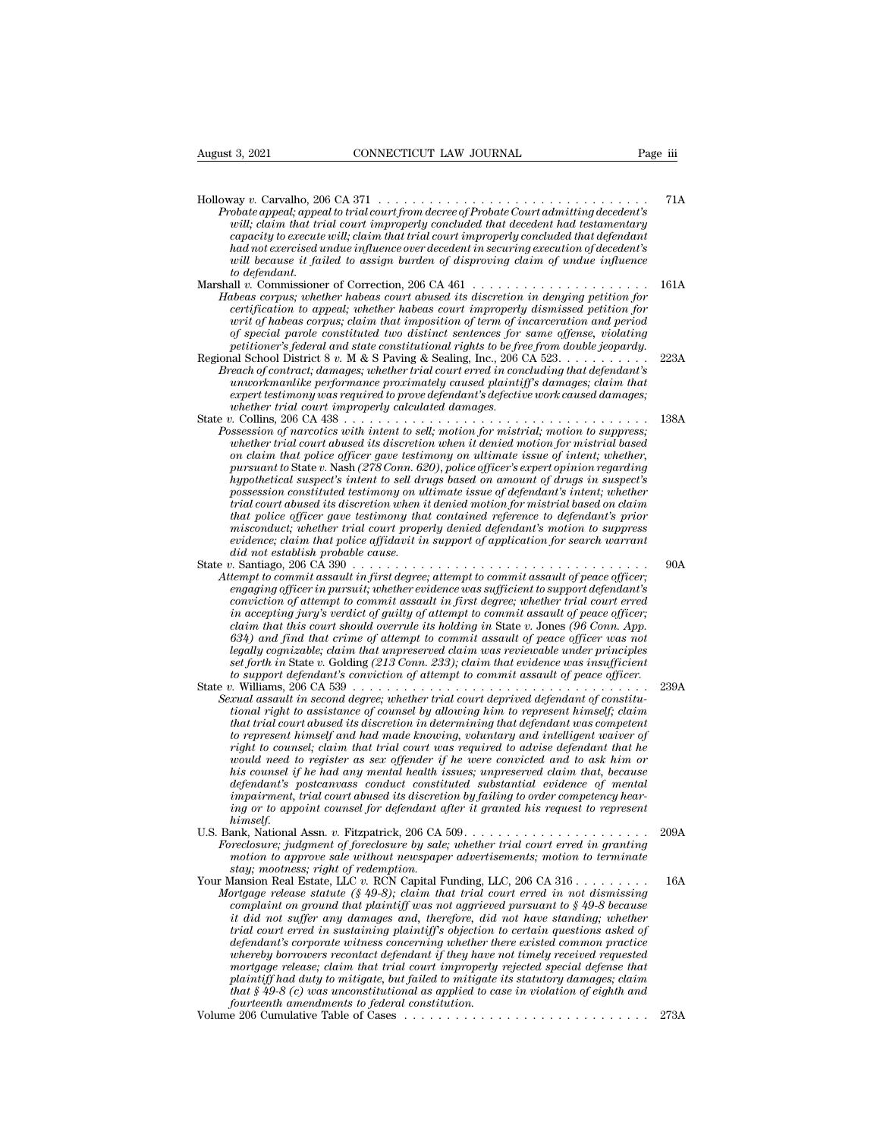August 3, 2021 CONNECTICUT LAW JOURNAL Page iii Holloway *v.* Carvalho, 206 CA 371 . . . . . . . . . . . . . . . . . . . . . . . . . . . . . . . . 71A *Page iii*<br> *Page iii*<br> *Probate appeal; appealing appealing accelering a probate Court admitting decedent's*<br> *Probate appeal; appeal to trial court improperly concluded that decedent had testamentary*<br> *canacitu to execu willieut* Connect Tight Connect LAW JOURNAL Page iii<br> *way v.* Carvalho, 206 CA 371<br> *will, claim that trial court from decree of Probate Court admitting decedent's*<br> *will, claim that trial court improperly concluded tha capacity to execute will, claim that trial court from the execution of the execution of the appeal; appeal to trial court from decree of Probate Court admitting decedent's will; claim that trial court improperly concluded had not exercised undue influence of Probate appeal; appeal to trial court from decree of Probate Court admitting decedent's*<br> *had not exercised undue influence over decedent in securing execution of decedent's*<br> *had no will because it failed to assign burden of disproving claim of undue influence tay v. Carvalho, 20*<br>*to date appeal; appearily, claim that tri*<br>*trapacity to execute*<br>*had not exercised u*<br>*twill because it fail*<br>*to defendant.*<br>*commissiones*<br>*cormus: wheter* Holloway v. Carvalho, 206 CA 371<br> *Probate appeal, appeal to trial court from decree of Probate Court admitting decedent's*<br> *will, claim that trial court improperly concluded that destamentary<br>
capacity to execute will, c Probate appeal, appeal to trial court from decree of Probate Court admitting decedent's*<br>
will; claim that trial court improperly concluded that decedent had testamentary<br>
capacity to execute will, claim that trial court *certification that trial court improperly concluded that decedent had testamentary*<br>capacity to execute will; claim that trial court improperly concluded that defendant<br>had not exercised undue influence over decedent in s *capacity to execute will; claim that trial court improperty concluded that defendant*<br> *will because it failed to assign burden of disproving claim of undue influence<br>
will because it failed to assign burden of disproving nad not exercised undue influence over decedent in securing execution of decedent's*<br> *voill because it failed to assign burden of disproving claim of undue influence<br>
to defendant.*<br> **all** *v.* Commissioner of Correction *petitioner's that the difference of disproving claim of undue influence*<br>to defendant.<br>The commissioner of Correction, 206 CA 461<br>*phones corpus; whether habeas court abused its discretion in denying petition for*<br>certifi to defendant.<br>
Marshall v. Commissioner of Correction, 206 CA 461<br>
Habeas corpus; whether habeas court dowed its discretion in denying petition for<br>
certification to appeal; whether habeas court improperly dismissed petiti **Brach of contracts;** whether habeas court abused its discrete in denying petition for certification to appeal; whether habeas court abused its discrete in convention for writ of habeas corpus; claim that improperity dismi *ubeas corpus; whether habeas court abused its discretion in denying petition for*<br>certification to appeal; whether habeas court improperly dismissed petition for<br>writ of habeas corpus; claim that imposition of term of inc *experiment of habeas corpus; claim that imposition of term of incarceration and period*<br>of special parole constituted two distinct sentences for same offense, violating<br>petitioner's federal and state constitutional rights *where v. Collins, 206 CA 438*  $\dots$  *with intent to sell; motion for mistrial; motion to suppress.*<br>Possession of narcotics with intent to sell; motion for mistrial; motion to suppress. of special parole constituted two distinct sentences for same offense, violating<br>petitioner's federal and state constitutional rights to be free from double jeopardy.<br>Regional School District 8 v. M & S Paving & Sealing, I *Possessional School District 8 v. M & S Paving & Sealing, Inc., 206 CA 523.*<br> *Preach of contract; damages; whether trial court erred in concluding that defendant's unworkmanlike performance proximately caused plaintiff's whether trial court abused its discretion when it denied motion for mistrial based on claim that police officer gave testimony on ultimate issue of intent; whether, unworkmantike performance proximately caused plaintiff's damages; claim that*<br> *expert testimony was required to prove defendant's defective work caused damages;<br>
whether trial court improperly calculated damages.<br>
2. Col expert testmony was required to prove defendant's defective work caused damages;*<br>  $h$ . Collins, 206 CA 438<br>  $h$ . Collins, 206 CA 438<br>  $h$ . Collins, 206 CA 438<br>  $h$ . Session of narcotics with intent to sell; motion for mi *possession constituted testimony constituted testimony on ultimates issues in the testimony on tentions of marcotics with whether trial court abused its discretion when it denied motion for mistrial based on claim that po trial court abused its discretion when it denied motion for mistrial, motion to suppress;*<br> *trial court abused its discretion when it denied motion for mistrial based<br>
whether trial court abused its discretion when it de that polices with intent to sell; motion for mistrial; motion to suppress;*<br>whether trial court abused its discretion when it denied motion for mistrial based<br>por claim that police officer gave testimony on ultimate issue *whether trial court abused its discretion when it denied motion for mistrial based* on claim that police officer gave testimony on ultimate issue of intent; whether, pursuant to State v. Nash (278 Comp. 620), police offic on claim that police officer gave testimony on ultimate issue of intent; whether, pursuant to State v. Nash (278 Conn. 620), police officer's expert opinion regarding hypothetical suspect's intent to sell drugs based on am pursuant to State v. Nash (278 Conn. 62<br>*hypothetical suspect's intent to sell dra*<br>possession constituted testimony on ult<br>trial court abused its discretion when i<br>that police officer gave testimony tha<br>misconduct; whethe mypothetical suspect's intent to sell drugs based on amount of drugs in suspect's<br>possession constituted testimony on ultimate issue of defendant's intent; whether<br>trial court abused its discretion when it denied motion fo *Possession constituted testimony on ultimate issue of defendant's intent; whether*<br> *Attal court abused its discretion when it denied motion for mistrial based on claim<br>
that police officer gave testimony that contained r engaging officer in pursuit; whether evidence was sufficient in accepting in accepting in accepting officer in pursuit, whether trial court properly denied defendant's motion to suppress evidence; claim that police affida conviction of attemption of attempty that contained reference to defendant's prior*<br> *conduct; claim that police affidavit in support of application for search warrant*<br> *coidence; claim that police assault in first degre in accorduct; whether trual court property denied defendant's motion to suppress*<br> *evidence; claim that police affidavit in support of application for search warrant<br>
did not establish probable cause.<br>
<i>i.* Santiago, 206 *claim that this court should overrule its holding in* State *v.* Jones *(96 Conn. App. 634) and find that crime of attempt to commit assault of peace officer was not legally cognizable; claim that unpreserved claim to commit assault of peace officer;*  $\theta$  *learnt to commit assault in first degree; attempt to commit assault of peace officer; conviction of attempt to commit assault tempt to commut assault in first degree; attempt to commut assault of peace officer;*<br>engaging officer in pursuit; whether evidence was sufficient to support defendant's<br>conviction of attempt to commit assault in first de *engaging officer in pursuit; whether evidence was sufficient to support defendant's*<br>conviction of attempt to commit assault in first degree; whether trial court erred<br>in accepting jury's verdict of guilty of attempt to c conviction of attempt to commut assault in first degree; whether trial court erred<br>in accepting jury's verdict of guilty of attempt to commit assault of peace officer;<br>claim that this court should overrule its holding in S *In accepting jury's verdict of guilty of attempt to commit assault of peace officer;*<br> *Cain that this court should overrule its holding in State v. Jones (96 Com. App.*<br> *G34) and find that crime of attempt to commit ass claim that this court should overrule its holding in State v. Jones (96 Conn. App.* 634) and find that crime of attempt to commit assault of peace officer was not legally cognizable; claim that unpresented laim was review *that trial court abused is discretion in that unpreserved claim was reviewable under principles set forth in State v. Golding (213 Conn. 233); claim that widence was insufficient to support defendant's conviction of atte tegally cognizable; claim that unpreserved claim was reviewable under principles*<br>set forth in State v. Golding (213 Conn. 233); claim that evidence was insufficient<br>to support defendant's conviction of attempt to commit *right to counsel; claim that trial court was required to advise defendant that he would need to register as sex offender if he were convicted and to ask him or his counsel if he had any mental health issues; unpreserved claim that, because definitional right to assistance of counsel by allowing him to represent himself; claim* that trial court abused its discretion in determining that defendant was competent to represent himself and had made knowing, volunt *it impair to assistance of counset by allowing him to represent himself; claim*<br>that trial court abused its discretion in determining that defendant was competent<br>to represent himself and had made knowing, voluntary and i *ihat trial court abused its discretion in determining that defendant was competent* to represent himself and had made knowing, voluntary and intelligent waiver of right to counsel; claim that trial court was required to a *himself.* right to counsel; claim that trial court was required to advise defendant that he<br>would need to register as sex offender if he were convicted and to ask him or<br>his counsel if he had any mental health issues; unpreserved cl *Foreclosure; increases and the member of the were convicted and to ask him or*<br>*his counsel if he had any mental health issues; unpreserved claim that, because<br>defendant's postcanvass conduct constituted substantial evide motion to approve sale without to approve sale with the size without to approximate defendant's postcanvass conduct constituted substantial evidence of mental impairment, trial court abused its discretion by failing to or defendant's postcanvass conduct constitumpairment, trial court abused its discreting or to appoint counsel for defendant a himself.*<br>*himself,*<br>ank, National Assn. v. Fitzpatrick, 206 CA reclosure; judgment of foreclosure mparment, trial court abused its discretion by Jailing to order competency hear-<br>ing or to appoint counsel for defendant after it granted his request to represent<br>U.S. Bank, National Assn. v. Fitzpatrick, 206 CA 509. . . . *Mortgage release statute (§ 49-8);* claim that trial court erred in graniting motion to approve sale without newspaper advertisements; motion to terminate stay; mootness; right of redemption.<br> **Mortgage release statute (§** *complaint on ground that platnics* and the same of foreclosure by sale; whether trial court erred in granting recolosure; judgment of foreclosure by sale; whether trial court erred in granting motion to approve sale witho *it did not suffer any damages and, therefore, did not have standing; whether reclosure; judgment of foreclosure by sale; whether trad court erred in granting motion to approve sale without newspaper advertisements; motion to terminate stay; mootness; right of redemption.*<br> *Iansion Real Estate, LL defendant's corporate witness concerning whether there existed common practice whereby borrowers recontact defendant if they have not timely received requested*

*mortgage release statute (§ 49-8)*; claim that trial court erred in not dismissing or proplaint on ground that plaintiff was not aggrieved pursuant of  $\frac{49-8}{9}$  because it did not suffer any damages and, therefore, di *profigage release statute (§ 49-8); claim that trial court erred in not dismissing*<br> *complaint on ground that plaintiff was not aggrieved pursuant to § 49-8 because<br>
it did not suffer any damages and, therefore, did not tomplannt on ground that planntyf was not aggreeved pursuant to § 49-8 because* it did not suffer any damages and, therefore, did not have standing; whether trial court erred in sustaining plaintiffs objection to certain *fourteent any damages and, therefore, did* it final court erred in sustaining plaintiff's objection to feleral ant's corporate witness concerning whether the whereby borrowers recontact defendant if they have mortgage rel trial court erred in sustaining plaintiff's objection to certain questions asked of defendant's corporate witness concerning whether there existed common practice whereby borrowers recontact defendant if they have not tim